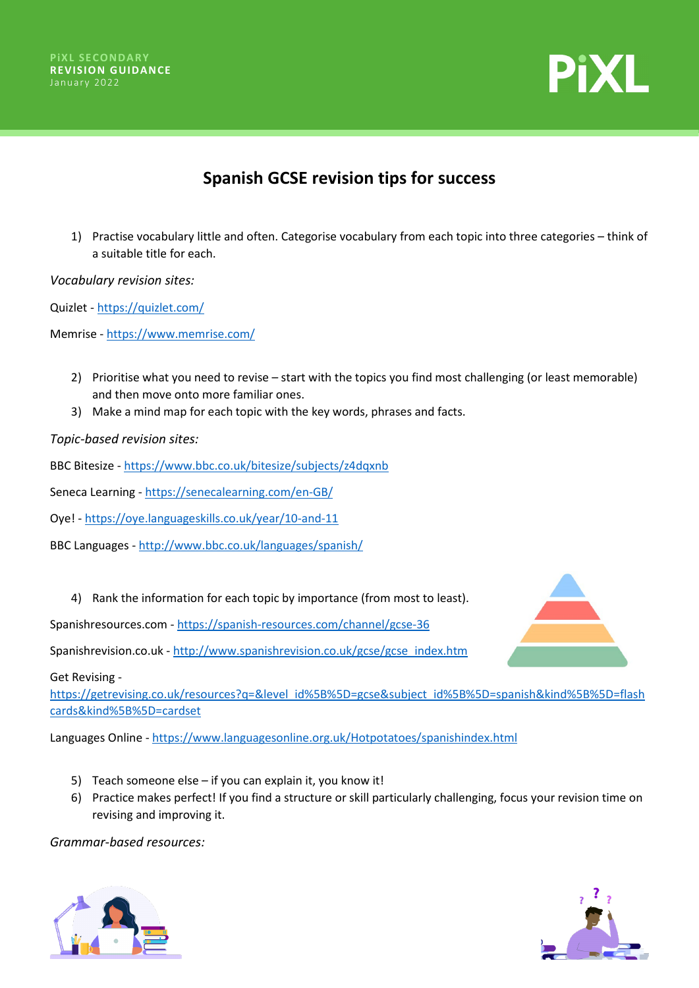



## **Spanish GCSE revision tips for success**

1) Practise vocabulary little and often. Categorise vocabulary from each topic into three categories – think of a suitable title for each.

*Vocabulary revision sites:*

Quizlet - <https://quizlet.com/>

Memrise - [https://www.memrise.com/](https://radiooooo.com/)

- 2) Prioritise what you need to revise start with the topics you find most challenging (or least memorable) and then move onto more familiar ones.
- 3) Make a mind map for each topic with the key words, phrases and facts.

*Topic-based revision sites:*

BBC Bitesize - [https://www.bbc.co.uk/bitesize/subjects/z4dqxnb](https://senecalearning.com/en-GB/)

Seneca Learning - [https://senecalearning.com/en-GB/](https://www.newsinslowspanish.com/)

Oye! - [https://oye.languageskills.co.uk/year/10-and-11](https://getrevising.co.uk/resources)

BBC Languages - [http://www.bbc.co.uk/languages/spanish/](https://driveandlisten.herokuapp.com/)

4) Rank the information for each topic by importance (from most to least).

Spanishresources.com - [https://spanish-resources.com/channel/gcse-36](https://revisionworld.com/gcse-revision/spanish/grammar) 

Spanishrevision.co.uk - [http://www.spanishrevision.co.uk/gcse/gcse\\_index.htm](https://lyricstraining.com/)

Get Revising -

[https://getrevising.co.uk/resources?q=&level\\_id%5B%5D=gcse&subject\\_id%5B%5D=spanish&kind%5B%5D=flash](http://www.bbc.co.uk/languages/spanish/?q=&level_id%5B%5D=gcse&subject_id%5B%5D=spanish&kind%5B%5D=flashcards&kind%5B%5D=cardset) [cards&kind%5B%5D=cardset](http://www.bbc.co.uk/languages/spanish/?q=&level_id%5B%5D=gcse&subject_id%5B%5D=spanish&kind%5B%5D=flashcards&kind%5B%5D=cardset)

Languages Online - [https://www.languagesonline.org.uk/Hotpotatoes/spanishindex.html](http://www.spanishdict.com/)

- 5) Teach someone else if you can explain it, you know it!
- 6) Practice makes perfect! If you find a structure or skill particularly challenging, focus your revision time on revising and improving it.

*Grammar-based resources:*